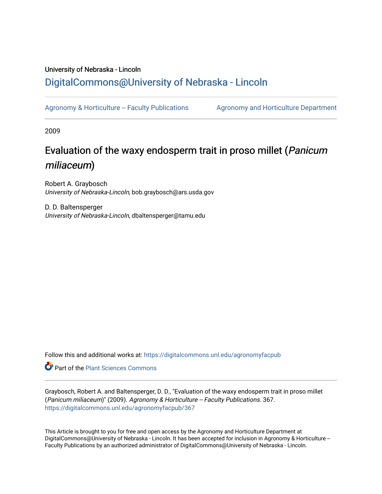## University of Nebraska - Lincoln [DigitalCommons@University of Nebraska - Lincoln](https://digitalcommons.unl.edu/)

[Agronomy & Horticulture -- Faculty Publications](https://digitalcommons.unl.edu/agronomyfacpub) Agronomy and Horticulture Department

2009

# Evaluation of the waxy endosperm trait in proso millet (Panicum miliaceum)

Robert A. Graybosch University of Nebraska-Lincoln, bob.graybosch@ars.usda.gov

D. D. Baltensperger University of Nebraska-Lincoln, dbaltensperger@tamu.edu

Follow this and additional works at: [https://digitalcommons.unl.edu/agronomyfacpub](https://digitalcommons.unl.edu/agronomyfacpub?utm_source=digitalcommons.unl.edu%2Fagronomyfacpub%2F367&utm_medium=PDF&utm_campaign=PDFCoverPages)

Part of the [Plant Sciences Commons](http://network.bepress.com/hgg/discipline/102?utm_source=digitalcommons.unl.edu%2Fagronomyfacpub%2F367&utm_medium=PDF&utm_campaign=PDFCoverPages)

Graybosch, Robert A. and Baltensperger, D. D., "Evaluation of the waxy endosperm trait in proso millet (Panicum miliaceum)" (2009). Agronomy & Horticulture -- Faculty Publications. 367. [https://digitalcommons.unl.edu/agronomyfacpub/367](https://digitalcommons.unl.edu/agronomyfacpub/367?utm_source=digitalcommons.unl.edu%2Fagronomyfacpub%2F367&utm_medium=PDF&utm_campaign=PDFCoverPages)

This Article is brought to you for free and open access by the Agronomy and Horticulture Department at DigitalCommons@University of Nebraska - Lincoln. It has been accepted for inclusion in Agronomy & Horticulture -- Faculty Publications by an authorized administrator of DigitalCommons@University of Nebraska - Lincoln.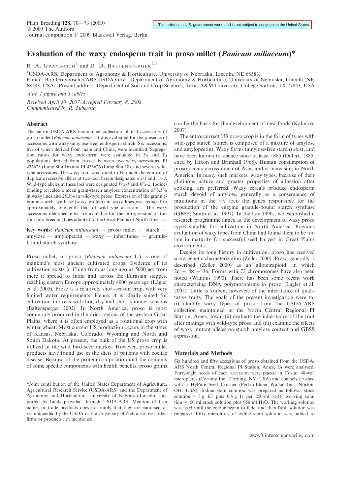### Evaluation of the waxy endosperm trait in proso millet (Panicum miliaceum)\*

R. A. GRAYBOSCH<sup>1</sup> and D. D. BALTENSPERGER<sup>2,3</sup>

<sup>1</sup>USDA-ARS, Department of Agronomy & Horticulture, University of Nebraska, Lincoln, NE 68583,

E-mail: Bob.Graybosch@ARS.USDA.Gov; <sup>2</sup>Department of Agronomy & Horticulture, University of Nebraska, Lincoln, NE 68583, USA; <sup>3</sup>Present address: Department of Soil and Crop Sciences, Texas A&M University, College Station, TX 77843, USA With 1 figure and 3 tables

Received April 30, 2007/Accepted February 8, 2008 Communicated by R. Tuberosa

#### Abstract

The entire USDA-ARS maintained collection of 650 accessions of proso millet (Panicum miliaceum L.) was evaluated for the presence of accessions with waxy (amylose-free) endosperm starch. Six accessions, five of which derived from mainland China, were identified. Segregation ratios for waxy endosperm were evaluated in  $F_2$  and  $F_3$ populations derived from crosses between two waxy accessions, PI 436625 (Lung Shu 16) and PI 436626 (Lung Shu 18), and several wildtype accessions. The waxy trait was found to be under the control of duplicate recessive alleles at two loci, herein designated wx-1 and wx-2. Wild-type alleles at these loci were designated  $Wx-1$  and  $Wx-2$ . Iodinebinding revealed a mean grain-starch amylose concentration of 3.5% in waxy lines and 25.3% in wild-type proso. Expression of the granulebound starch synthase (waxy protein) in waxy lines was reduced to approximately one-tenth that of wild-type accessions. The waxy accessions identified now are available for the introgression of this trait into breeding lines adapted to the Great Plains of North America.

Key words: Panicum miliaceum — proso millet — starch amylose — amylopectin — waxy — inheritance — granulebound starch synthase

Proso millet, or proso (Panicum miliaceum L.) is one of mankind's most ancient cultivated crops. Evidence of its cultivation exists in China from as long ago as 5000 BC; from there it spread to India and across the Eurasian steppes, reaching eastern Europe approximately 4000 years ago (Lágler et al. 2005). Proso is a relatively short-season crop, with very limited water requirements. Hence, it is ideally suited for cultivation in areas with hot, dry and short summer seasons (Baltensperger 2002). In North America, proso is most commonly produced in the drier regions of the western Great Plains, where it is often employed as a rotational crop with winter wheat. Most current US production occurs in the states of Kansas, Nebraska, Colorado, Wyoming and North and South Dakota. At present, the bulk of the US proso crop is utilized in the wild bird seed market. However, proso millet products have found use in the diets of patients with coeliac disease. Because of the protein composition and the contents of some specific components with health benefits, proso grains can be the basis for the development of new foods (Kalinova 2007).

The entire current US proso crop is in the form of types with wild-type starch (starch is composed of a mixture of amylose and amylopectin). Waxy forms (amylose-free starch) exist, and have been known to science since at least 1885 (Dafert, 1885; cited by Hixon and Brimhall 1968). Human consumption of proso occurs across much of Asia, and is increasing in North America. In many such markets, waxy types, because of their glutinous nature and greater properties of adhesion after cooking, are preferred. Waxy cereals produce endosperm starch devoid of amylose, generally as a consequence of mutations in the wx loci, the genes responsible for the production of the enzyme granule-bound starch synthase (GBSS; Smith et al. 1997). In the late 1990s, we established a research programme aimed at the development of waxy proso types suitable for cultivation in North America. Previous evaluation of waxy types from China had found them to be too late in maturity for successful seed harvest in Great Plains environments.

Despite its long history in cultivation, proso has received scant genetic characterization (Zeller 2000). Proso generally is described (Zeller 2000) as an allotetraploid, in which  $2n = 4x = 36$ . Forms with 72 chromosomes have also been noted (Wanous 1990). There has been some recent work characterizing DNA polymorphisms in proso (Lágler et al. 2005). Little is known, however, of the inheritance of qualitative traits. The goals of the present investigation were to: (i) identify waxy types of proso from the USDA-ARS collection maintained at the North Central Regional PI Station, Ames, Iowa; (ii) evaluate the inheritance of the trait after matings with wild-type proso and (iii) examine the effects of waxy mutant alleles on starch amylose content and GBSS expression.

#### Materials and Methods

Six hundred and fifty accessions of proso obtained from the USDA-ARS North Central Regional PI Station, Ames, IA were analysed. Forty-eight seeds of each accession were placed in Costar 48-well microplates (Corning Inc., Corning, NY, USA) and coarsely crushed with a HyPure Seed Crusher (Perkin-Elmer Wallac Inc., Norton, OH, USA). Iodine stain solution was prepared as follows: stock solution = 5 g KI plus 0.5 g I<sub>2</sub> per 250 ml H<sub>2</sub>O; working solution = 50 ml stock solution plus 950 ml  $H_2O$ . The working solution was used until the colour began to fade, and then fresh solution was prepared. Fifty microlitres of iodine stain solution were added to

<sup>\*</sup>Joint contribution of the United States Department of Agriculture, Agricultural Research Service (USDA-ARS) and the Department of Agronomy and Horticulture, University of Nebraska-Lincoln, supported by funds provided through USDA-ARS. Mention of firm names or trade products does not imply that they are endorsed or recommended by the USDA or the University of Nebraska over other firms or products not mentioned.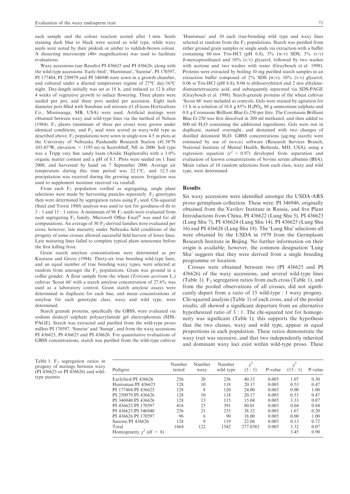each sample and the colour reaction scored after 1 min. Seeds staining dark blue to black were scored as wild type, while waxy seeds were noted by their pinkish or amber to reddish-brown colour. A dissecting microscope  $(40 \times$  magnification) was used to facilitate evaluations.

Waxy accessions (see Results) PI 436625 and PI 436626, along with the wild-type accessions 'Early-bird', 'Huntsman', 'Sunrise', PI 170597, PI 177484, PI 250979 and PI 346940 were sown in a growth chamber, and cultured under a diurnal temperature regime of  $27^{\circ}$ C day/16 $^{\circ}$ C night. Day-length initially was set at 18 h, and reduced to 12 h after 4 weeks of vegetative growth to induce flowering. Three plants were seeded per pot, and three pots seeded per accession. Eight inch diameter pots filled with Sunshine soil mixture #1 (Fisons Horticulture Co., Mississauga, MB, USA) were used. Artificial matings were obtained between waxy and wild-type lines via the method of Nelson (1984).  $F_1$  plants (minimum of three per cross) were grown under identical conditions, and  $F_2$  seed were scored as waxy/wild type as described above.  $F_2$  populations were sown in single-row 4.5 m plots at the University of Nebraska Panhandle Research Station (41.58°N  $103.45^{\circ}$ W, elevation = 1195 m) in Scottsbluff, NE in 2000. Soil type was a Tripp very fine sandy loam (Aridic Haplustolls) with a 1.0% organic matter content and a pH of 8.1. Plots were seeded on 1 June 2000, and harvested by hand on 7 September 2000. Average air temperature during this time period was  $22.1^{\circ}$ C, and  $12.5$  cm precipitation was received during the growing season. Irrigation was used to supplement moisture received via rainfall.

From each  $F_2$  population verified as segregating, single plant selections were made by harvesting panicles separately.  $F<sub>2</sub>$  genotypes then were determined by segregation ratios using  $F_3$  seed. Chi-squared (Steel and Torrie 1980) analysis was used to test for goodness-of-fit to 3 : 1 and 15 : 1 ratios. A minimum of 96 F<sub>3</sub> seeds were evaluated from each segregating  $F_2$  family. Microsoft Office Excel<sup>®</sup> was used for all computations. An average of 30  $F_2$ -derived families were evaluated per cross; however, late maturity under Nebraska field conditions of the progeny of some crosses allowed successful field harvest of fewer lines. Late maturing lines failed to complete typical plant senescence before the first killing frost.

Grain starch amylose concentrations were determined as per Knutson and Grove (1994). Thirty-six true breeding wild-type lines, and an equal number of true breeding waxy types, were selected at random from amongst the  $F_2$  populations. Grain was ground in a coffee grinder. A flour sample from the wheat (Triticum aestivum L.) cultivar 'Scout 66' with a starch amylose concentration of 27.6% was used as a laboratory control. Grain starch amylose assays were determined in duplicate for each line, and mean concentrations of amylose for each genotypic class, waxy and wild type, were determined.

Starch granule proteins, specifically the GBSS, were evaluated via sodium dodecyl sulphate polyacrylamide gel electrophoresis (SDS-PAGE). Starch was extracted and purified from the wild-type proso millets PI 170597, 'Sunrise' and 'Sunup', and from the waxy accessions PI 436623, PI 436625 and PI 436626. For quantitative evaluations of GBSS concentrations, starch was purified from the wild-type cultivar

'Huntsman' and 10 each true-breeding wild type and waxy lines selected at random from the  $F_2$  populations. Starch was purified from either ground grain samples or single seeds via extraction with a buffer containing 60 mm Tris-HCl (pH 6.8),  $3\%$  (w/v) SDS,  $3\%$  (v/v) B-mercaptoethanol and  $10\%$  (v/v) glycerol, followed by two washes with acetone and two washes with water (Graybosch et al. 1998). Proteins were extracted by boiling 10 mg purified starch samples in an extraction buffer composed of  $2\%$  SDS (w/v),  $10\%$  (v/v) glycerol,  $0.06$  M Tris-HCl (pH 8.8),  $0.04$  M dithioerythritol and 2 mM ethylenediaminetetraacetic acid, and subsequently separated via SDS-PAGE (Graybosch et al. 1998). Starch-granule proteins of the wheat cultivar Scout 66' were included as controls. Gels were stained by agitation for 15 h in a solution of 18.8 g  $85\%$  H<sub>3</sub>PO<sub>4</sub>, 80 g ammonium sulphate and 0.8 g Coomassie Brilliant Blue G-250 per litre. The Coomassie Brilliant Blue G-250 was first dissolved in 200 ml methanol, and then added to  $800$  ml  $H<sub>2</sub>O$  containing the additional ingredients. Gels were run in duplicate, stained overnight, and destained with two changes of distilled deionized H<sub>2</sub>O. GBSS concentrations ( $\mu$ g/mg starch) were estimated by use of IMAGEJ software (Research Services Branch, National Institute of Mental Health, Bethesda, MD, USA), using a regression equation  $(r^2 = 0.97)$  developed from separation and evaluation of known concentrations of bovine serum albumin (BSA). Mean values of 10 random selections from each class, waxy and wild type, were determined.

#### Results

Six waxy accessions were identified amongst the USDA-ARS proso germplasm collection. These were: PI 346946, originally obtained from the Vavilov Institute in Russia, and five Plant Introductions from China, PI 436622 (Lung Shu 5), PI 436623 (Lung Shu 7), PI 436624 (Lung Shu 14), PI 436625 (Lung Shu 16) and PI 436626 (Lung Shu 18). The 'Lung Shu' selections all were obtained by the USDA in 1979 from the Germplasm Research Institute in Beijing. No further information on their origin is available; however, the common designation Lung Shu' suggests that they were derived from a single breeding programme or location.

Crosses were obtained between two (PI 436625 and PI 436626) of the waxy accessions, and several wild-type lines (Table 1).  $F_2$  segregation ratios from each cross (Table 1), and from the pooled observations of all crosses, did not significantly depart from a ratio of 15 wild-type : 1 waxy progeny. Chi-squared analysis (Table 1) of each cross, and of the pooled results, all showed a significant departure from an alternative hypothesized ratio of 3 : 1. The chi-squared test for homogeneity was significant (Table 1); this supports the hypothesis that the two classes, waxy and wild type, appear in equal proportions in each population. These ratios demonstrate the waxy trait was recessive, and that two independently inherited and dominant waxy loci exist within wild-type proso. These

Table 1:  $F_2$  segregation ratios in progeny of matings between waxy (PI 436625 or PI 436626) and wildtype parents

| Pedigree                        | Number<br>tested | Number<br>waxy | Number<br>wild type | $\chi^2$<br>(3:1) | P-value | $\gamma^2$<br>(15:1) | P-value |
|---------------------------------|------------------|----------------|---------------------|-------------------|---------|----------------------|---------|
| Earlybird/PI 436626             | 256              | 20             | 236                 | 40.33             | 0.005   | 1.07                 | 0.30    |
| Huntsman/PI 436625              | 128              | 10             | 118                 | 20.17             | 0.005   | 0.53                 | 0.47    |
| PI 177484/PI 436625             | 128              | 8              | 120                 | 24.00             | 0.005   | 0.00                 | 1.00    |
| PI 250979/PI 436626             | 128              | 10             | 118                 | 20.17             | 0.005   | 0.53                 | 0.47    |
| PI 346940/PI 436626             | 128              | 13             | 115                 | 15.04             | 0.005   | 3.33                 | 0.07    |
| PI 436625/PI 170597             | 416              | 25             | 391                 | 80.01             | 0.005   | 0.04                 | 0.84    |
| PI 436625/PI 346940             | 256              | 21             | 235                 | 38.52             | 0.005   | 1.67                 | 0.20    |
| PI 436626/PI 170597             | 96               | 6              | 90                  | 18.00             | 0.005   | 0.00                 | 1.00    |
| Sunrise/PI 436626               | 128              | 9              | 119                 | 22.04             | 0.005   | 0.13                 | 0.72    |
| Total                           | 1664             | 122            | 1542                | 277.0385          | 0.005   | 3.32                 | 0.07    |
| Homogeneity $\gamma^2$ (df = 8) |                  |                |                     |                   |         | 3.45                 | 0.90    |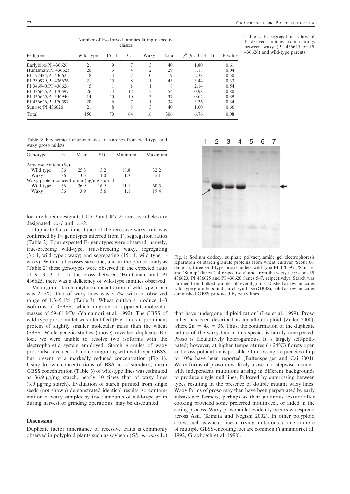|                     | Number of $F_2$ -derived families fitting respective | classes |     |                |       |                            |         |
|---------------------|------------------------------------------------------|---------|-----|----------------|-------|----------------------------|---------|
| Pedigree            | Wild type                                            | 15:1    | 3:1 | Waxy           | Total | $\gamma^2$ (9 : 3 : 3 : 1) | P-value |
| Earlybird/PI 436626 | 21                                                   | 9       |     |                | 40    | 1.80                       | 0.61    |
| Huntsman/PI 436625  | 20                                                   |         | 4   |                | 29    | 8.18                       | 0.04    |
| PI 177484/PI 436625 | 8                                                    | 4       |     | 0              | 19    | 2.38                       | 0.50    |
| PI 250979/PI 436626 | 21                                                   | 15      | 8   |                | 45    | 3.44                       | 0.33    |
| PI 346940/PI 436626 | 5                                                    |         |     |                | 8     | 2.14                       | 0.54    |
| PI 436625/PI 170597 | 26                                                   | 14      | 12  | $\mathfrak{D}$ | 54    | 0.98                       | 0.80    |
| PI 436625/PI 346940 | 14                                                   | 10      | 10  | 3              | 37    | 0.62                       | 0.89    |
| PI 436626/PI 170597 | 20                                                   | 6       |     |                | 34    | 3.36                       | 0.34    |
| Sunrise/PI 436626   | 21                                                   | 8       | 8   | 3              | 40    | 1.60                       | 0.66    |
| Total               | 156                                                  | 70      | 64  | 16             | 306   | 6.76                       | 0.08    |

Table 2:  $F_3$  segregation ratios of  $F<sub>2</sub>$ -derived families from matings between waxy (PI 436625 or PI 436626) and wild-type parents

Table 3: Biochemical characteristics of starches from wild-type and waxy proso millets

| Genotype                                               | n  | Mean | SD   | Minimum | Maximum |  |
|--------------------------------------------------------|----|------|------|---------|---------|--|
| Amylose content $(\% )$                                |    |      |      |         |         |  |
| Wild type                                              | 36 | 25.3 | 32   | 18.8    | 32.2    |  |
| Waxy                                                   | 36 | 3.5  | 10   | 13      | 5.1     |  |
| Waxy protein concentration $(\mu g/mg \text{ starch})$ |    |      |      |         |         |  |
| Wild type                                              | 36 | 36.9 | 16.5 | 11.1    | 60.5    |  |
| Waxy                                                   | 36 | 39   | 5.6  | 11      | 194     |  |

loci are herein designated *Wx-1* and *Wx-2*; recessive alleles are designated wx-1 and wx-2.

Duplicate factor inheritance of the recessive waxy trait was confirmed by  $F_2$  genotypes inferred from  $F_3$  segregation ratios (Table 2). Four expected  $F_2$  genotypes were observed, namely, true-breeding wild-type, true-breeding waxy, segregating  $(3:1, \text{ wild type}:$  waxy) and segregating  $(15:1, \text{ wild type}:$ waxy). Within all crosses save one, and in the pooled analysis (Table 2) these genotypes were observed in the expected ratio of  $9:3:3:1$ . In the cross between 'Huntsman' and PI 436625, there was a deficiency of wild-type families observed.

Mean grain-starch amylose concentration of wild-type proso was 25.3%, that of waxy lines was 3.5%, with an observed range of 1.3–5.1% (Table 3). Wheat cultivars produce 1–3 isoforms of GBSS, which migrate at apparent molecular masses of 59–61 kDa (Yamamori et al. 1992). The GBSS of wild-type proso millet was identified (Fig. 1) as a prominent protein of slightly smaller molecular mass than the wheat GBSS. While genetic studies (above) revealed duplicate  $Wx$ loci, we were unable to resolve two isoforms with the electrophoretic system employed. Starch granules of waxy proso also revealed a band co-migrating with wild-type GBSS, but present at a markedly reduced concentration (Fig. 1). Using known concentrations of BSA as a standard, mean GBSS concentration (Table 3) of wild-type lines was estimated as  $36.9 \text{ µg/mg}$  starch, nearly 10 times that of waxy lines  $(3.9 \text{ µg/mg}$  starch). Evaluation of starch purified from single seeds (not shown) demonstrated identical results, so contamination of waxy samples by trace amounts of wild-type grain during harvest or grinding operations, may be discounted.

#### **Discussion**

Duplicate factor inheritance of recessive traits is commonly observed in polyploid plants such as soybean (Glycine max L.)



Fig. 1: Sodium dodecyl sulphate polyacrylamide gel electrophoresis separation of starch granule proteins from wheat cultivar 'Scout 66' (lane 1), three wild-type proso millets wild-type PI 170597, 'Sunrise' and 'Sunup' (lanes 2–4 respectively) and from the waxy accessions PI 436623, PI 436625 and PI 436626 (lanes 5–7, respectively). Starch was purified from bulked samples of several grains. Dashed arrow indicates wild-type granule-bound starch synthase (GBSS); solid arrow indicates diminished GBSS produced by waxy lines

that have undergone 'diploidization' (Lee et al. 1999). Proso millet has been described as an allotetraploid (Zeller 2000), where  $2n = 4 \times = 36$ . Thus, the confirmation of the duplicate nature of the waxy loci in this species is hardly unexpected. Proso is facultatively heterogamous. It is largely self-pollinated; however, at higher temperatures ( $>24^{\circ}$ C) florets open and cross-pollination is possible. Outcrossing frequencies of up to 10% have been reported (Baltensperger and Cai 2004). Waxy forms of proso most likely arose in a stepwise manner, with independent mutations arising in different backgrounds to produce single null lines, followed by outcrossing between types resulting in the presence of double mutant waxy lines. Waxy forms of proso may then have been perpetuated by early subsistence farmers, perhaps as their glutinous texture after cooking provided some preferred mouth-feel, or aided in the eating process. Waxy proso millet evidently occurs widespread across Asia (Kimata and Negishi 2002). In other polyploid crops, such as wheat, lines carrying mutations at one or more of multiple GBSS-encoding loci are common (Yamamori et al. 1992, Graybosch et al. 1998).